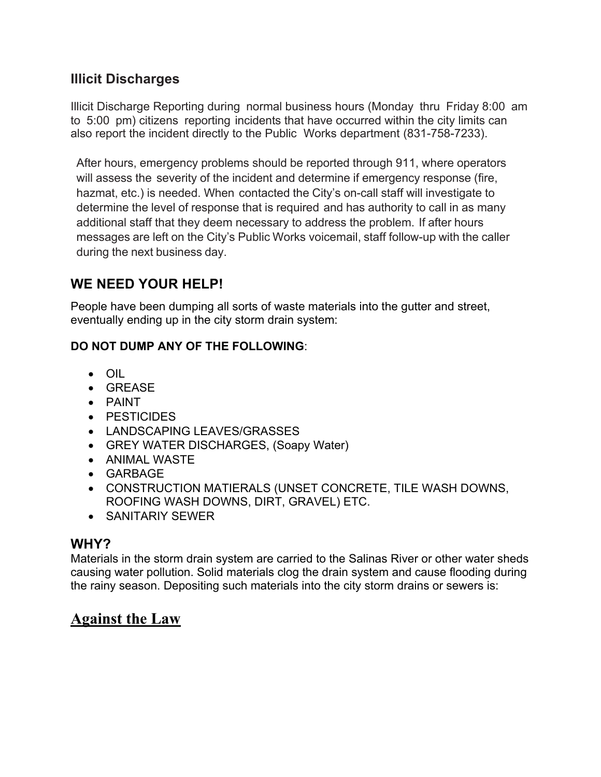## **Illicit Discharges**

Illicit Discharge Reporting during normal business hours (Monday thru Friday 8:00 am to 5:00 pm) citizens reporting incidents that have occurred within the city limits can also report the incident directly to the Public Works department (831-758-7233).

After hours, emergency problems should be reported through 911, where operators will assess the severity of the incident and determine if emergency response (fire, hazmat, etc.) is needed. When contacted the City's on-call staff will investigate to determine the level of response that is required and has authority to call in as many additional staff that they deem necessary to address the problem. If after hours messages are left on the City's Public Works voicemail, staff follow-up with the caller during the next business day.

### **WE NEED YOUR HELP!**

People have been dumping all sorts of waste materials into the gutter and street, eventually ending up in the city storm drain system:

#### **DO NOT DUMP ANY OF THE FOLLOWING**:

- OIL
- GREASE
- PAINT
- PESTICIDES
- LANDSCAPING LEAVES/GRASSES
- GREY WATER DISCHARGES, (Soapy Water)
- ANIMAL WASTE
- GARBAGE
- CONSTRUCTION MATIERALS (UNSET CONCRETE, TILE WASH DOWNS, ROOFING WASH DOWNS, DIRT, GRAVEL) ETC.
- SANITARIY SEWER

### **WHY?**

Materials in the storm drain system are carried to the Salinas River or other water sheds causing water pollution. Solid materials clog the drain system and cause flooding during the rainy season. Depositing such materials into the city storm drains or sewers is:

# **Against the Law**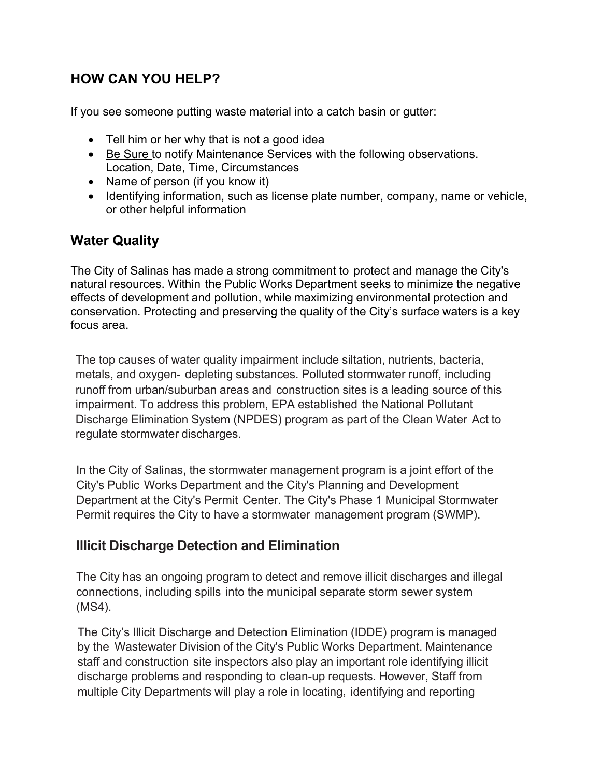# **HOW CAN YOU HELP?**

If you see someone putting waste material into a catch basin or gutter:

- Tell him or her why that is not a good idea
- Be Sure to notify Maintenance Services with the following observations. Location, Date, Time, Circumstances
- Name of person (if you know it)
- Identifying information, such as license plate number, company, name or vehicle, or other helpful information

## **Water Quality**

The City of Salinas has made a strong commitment to protect and manage the City's natural resources. Within the Public Works Department seeks to minimize the negative effects of development and pollution, while maximizing environmental protection and conservation. Protecting and preserving the quality of the City's surface waters is a key focus area.

The top causes of water quality impairment include siltation, nutrients, bacteria, metals, and oxygen- depleting substances. Polluted stormwater runoff, including runoff from urban/suburban areas and construction sites is a leading source of this impairment. To address this problem, EPA established the National Pollutant Discharge Elimination System (NPDES) program as part of the Clean Water Act to regulate stormwater discharges.

In the City of Salinas, the stormwater management program is a joint effort of the City's Public Works Department and the City's Planning and Development Department at the City's Permit Center. The City's Phase 1 Municipal Stormwater Permit requires the City to have a stormwater management program (SWMP).

# **Illicit Discharge Detection and Elimination**

The City has an ongoing program to detect and remove illicit discharges and illegal connections, including spills into the municipal separate storm sewer system (MS4).

The City's Illicit Discharge and Detection Elimination (IDDE) program is managed by the Wastewater Division of the City's Public Works Department. Maintenance staff and construction site inspectors also play an important role identifying illicit discharge problems and responding to clean-up requests. However, Staff from multiple City Departments will play a role in locating, identifying and reporting